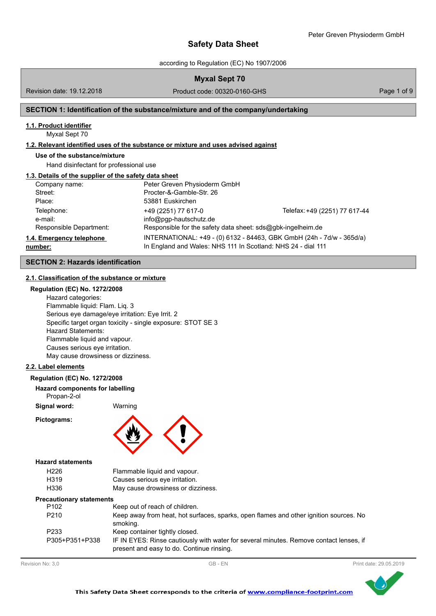according to Regulation (EC) No 1907/2006

| <b>Myxal Sept 70</b> |  |  |  |
|----------------------|--|--|--|
|----------------------|--|--|--|

Revision date: 19.12.2018

Product code: 00320-0160-GHS Product code: 00320-0160-GHS

## **SECTION 1: Identification of the substance/mixture and of the company/undertaking**

#### **1.1. Product identifier**

Myxal Sept 70

## **1.2. Relevant identified uses of the substance or mixture and uses advised against**

#### **Use of the substance/mixture**

Hand disinfectant for professional use

#### **1.3. Details of the supplier of the safety data sheet**

| Company name:            | Peter Greven Physioderm GmbH                                 |                                                                       |
|--------------------------|--------------------------------------------------------------|-----------------------------------------------------------------------|
| Street:                  | Procter-&-Gamble-Str. 26                                     |                                                                       |
| Place:                   | 53881 Euskirchen                                             |                                                                       |
| Telephone:               | +49 (2251) 77 617-0                                          | Telefax: +49 (2251) 77 617-44                                         |
| e-mail:                  | info@pgp-hautschutz.de                                       |                                                                       |
| Responsible Department:  | Responsible for the safety data sheet: sds@gbk-ingelheim.de  |                                                                       |
| 1.4. Emergency telephone |                                                              | INTERNATIONAL: +49 - (0) 6132 - 84463, GBK GmbH (24h - 7d/w - 365d/a) |
| number:                  | In England and Wales: NHS 111 In Scotland: NHS 24 - dial 111 |                                                                       |

## **SECTION 2: Hazards identification**

## **2.1. Classification of the substance or mixture**

## **Regulation (EC) No. 1272/2008**

Hazard categories: Flammable liquid: Flam. Liq. 3 Serious eye damage/eye irritation: Eye Irrit. 2 Specific target organ toxicity - single exposure: STOT SE 3 Hazard Statements: Flammable liquid and vapour. Causes serious eye irritation. May cause drowsiness or dizziness.

## **2.2. Label elements**

#### **Regulation (EC) No. 1272/2008**

#### **Hazard components for labelling**

Propan-2-ol

**Signal word:** Warning

**Pictograms:**



#### **Hazard statements**

| H226 | Flammable liquid and vapour.       |
|------|------------------------------------|
| H319 | Causes serious eye irritation.     |
| H336 | May cause drowsiness or dizziness. |

#### **Precautionary statements**

| P <sub>102</sub>  | Keep out of reach of children.                                                                                                      |
|-------------------|-------------------------------------------------------------------------------------------------------------------------------------|
| P <sub>210</sub>  | Keep away from heat, hot surfaces, sparks, open flames and other ignition sources. No<br>smoking.                                   |
| P <sub>2</sub> 33 | Keep container tightly closed.                                                                                                      |
| P305+P351+P338    | IF IN EYES: Rinse cautiously with water for several minutes. Remove contact lenses, if<br>present and easy to do. Continue rinsing. |



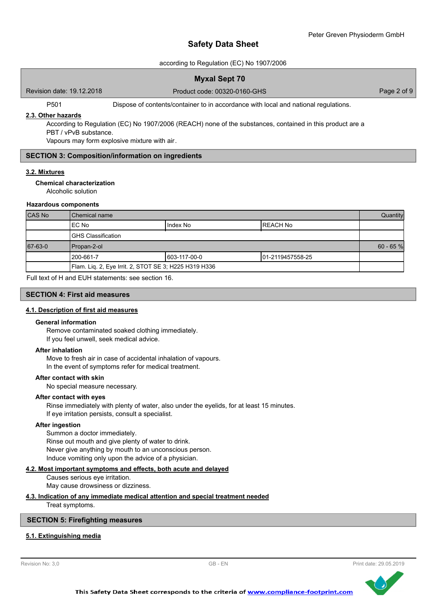### according to Regulation (EC) No 1907/2006

Revision date: 19.12.2018

Product code: 00320-0160-GHS Product code: 00320-0160-GHS

P501 Dispose of contents/container to in accordance with local and national regulations.

#### **2.3. Other hazards**

According to Regulation (EC) No 1907/2006 (REACH) none of the substances, contained in this product are a PBT / vPvB substance.

Vapours may form explosive mixture with air.

### **SECTION 3: Composition/information on ingredients**

## **3.2. Mixtures**

#### **Chemical characterization**

Alcoholic solution

#### **Hazardous components**

| CAS No  | l Chemical name                                       |               |                  | Quantity    |
|---------|-------------------------------------------------------|---------------|------------------|-------------|
|         | IEC No                                                | Index No      | IREACH No        |             |
|         | IGHS Classification                                   |               |                  |             |
| 67-63-0 | Propan-2-ol                                           |               |                  | $60 - 65$ % |
|         | l 200-661-7                                           | 1603-117-00-0 | 01-2119457558-25 |             |
|         | Flam. Liq. 2, Eye Irrit. 2, STOT SE 3; H225 H319 H336 |               |                  |             |

Full text of H and EUH statements: see section 16.

#### **SECTION 4: First aid measures**

#### **4.1. Description of first aid measures**

#### **General information**

Remove contaminated soaked clothing immediately. If you feel unwell, seek medical advice.

#### **After inhalation**

Move to fresh air in case of accidental inhalation of vapours. In the event of symptoms refer for medical treatment.

#### **After contact with skin**

No special measure necessary.

#### **After contact with eyes**

Rinse immediately with plenty of water, also under the eyelids, for at least 15 minutes. If eye irritation persists, consult a specialist.

#### **After ingestion**

Summon a doctor immediately. Rinse out mouth and give plenty of water to drink. Never give anything by mouth to an unconscious person. Induce vomiting only upon the advice of a physician.

## **4.2. Most important symptoms and effects, both acute and delayed**

Causes serious eye irritation. May cause drowsiness or dizziness.

## **4.3. Indication of any immediate medical attention and special treatment needed**

Treat symptoms.

### **SECTION 5: Firefighting measures**

## **5.1. Extinguishing media**



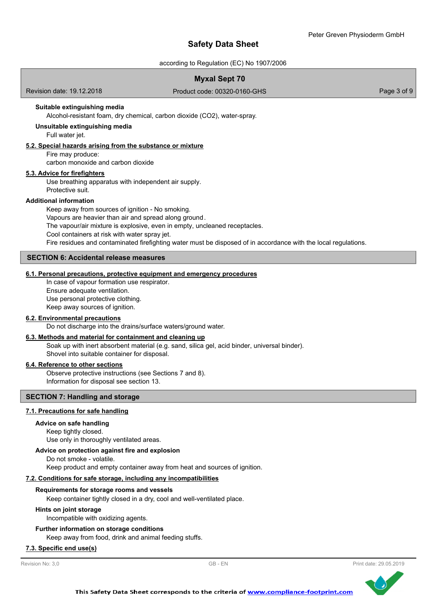according to Regulation (EC) No 1907/2006

## Revision date: 19.12.2018 **Myxal Sept 70** Product code: 00320-0160-GHS Product code: 00320-0160-GHS Alcohol-resistant foam, dry chemical, carbon dioxide (CO2), water-spray. **Suitable extinguishing media** Full water jet. **Unsuitable extinguishing media 5.2. Special hazards arising from the substance or mixture** Fire may produce: carbon monoxide and carbon dioxide Use breathing apparatus with independent air supply. Protective suit. **5.3. Advice for firefighters**

## **Additional information**

Keep away from sources of ignition - No smoking. Vapours are heavier than air and spread along ground. The vapour/air mixture is explosive, even in empty, uncleaned receptacles. Cool containers at risk with water spray jet. Fire residues and contaminated firefighting water must be disposed of in accordance with the local regulations.

### **SECTION 6: Accidental release measures**

#### **6.1. Personal precautions, protective equipment and emergency procedures**

In case of vapour formation use respirator. Ensure adequate ventilation. Use personal protective clothing.

Keep away sources of ignition.

### **6.2. Environmental precautions**

Do not discharge into the drains/surface waters/ground water.

### **6.3. Methods and material for containment and cleaning up**

Soak up with inert absorbent material (e.g. sand, silica gel, acid binder, universal binder). Shovel into suitable container for disposal.

#### **6.4. Reference to other sections**

Observe protective instructions (see Sections 7 and 8). Information for disposal see section 13.

#### **SECTION 7: Handling and storage**

#### **7.1. Precautions for safe handling**

#### **Advice on safe handling**

Keep tightly closed.

# Use only in thoroughly ventilated areas.

## **Advice on protection against fire and explosion**

Do not smoke - volatile.

Keep product and empty container away from heat and sources of ignition.

#### **7.2. Conditions for safe storage, including any incompatibilities**

#### **Requirements for storage rooms and vessels**

Keep container tightly closed in a dry, cool and well-ventilated place.

#### **Hints on joint storage**

Incompatible with oxidizing agents.

#### **Further information on storage conditions**

Keep away from food, drink and animal feeding stuffs.

## **7.3. Specific end use(s)**

Revision No: 3,0 GB - EN Print date: 29.05.2019

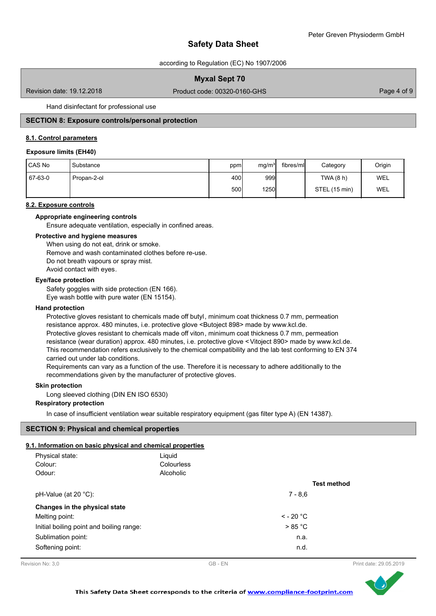according to Regulation (EC) No 1907/2006

## **Myxal Sept 70**

Revision date: 19.12.2018

Product code: 00320-0160-GHS Product code: 00320-0160-GHS

Hand disinfectant for professional use

## **SECTION 8: Exposure controls/personal protection**

#### **8.1. Control parameters**

#### **Exposure limits (EH40)**

| CAS No  | Substance   | ppm  | mg/m <sup>3</sup> | fibres/mll | Category      | Origin |
|---------|-------------|------|-------------------|------------|---------------|--------|
| 67-63-0 | Propan-2-ol | 400I | 999               |            | TWA (8 h)     | WEL    |
|         |             | 500l | 1250              |            | STEL (15 min) | WEL    |

### **8.2. Exposure controls**

**Appropriate engineering controls**

Ensure adequate ventilation, especially in confined areas.

#### **Protective and hygiene measures**

When using do not eat, drink or smoke. Remove and wash contaminated clothes before re-use. Do not breath vapours or spray mist. Avoid contact with eyes.

#### **Eye/face protection**

Safety goggles with side protection (EN 166). Eye wash bottle with pure water (EN 15154).

#### **Hand protection**

Protective gloves resistant to chemicals made off butyl, minimum coat thickness 0.7 mm, permeation resistance approx. 480 minutes, i.e. protective glove <Butoject 898> made by www.kcl.de. Protective gloves resistant to chemicals made off viton, minimum coat thickness 0.7 mm, permeation resistance (wear duration) approx. 480 minutes, i.e. protective glove <Vitoject 890> made by www.kcl.de. This recommendation refers exclusively to the chemical compatibility and the lab test conforming to EN 374 carried out under lab conditions.

Requirements can vary as a function of the use. Therefore it is necessary to adhere additionally to the recommendations given by the manufacturer of protective gloves.

#### **Skin protection**

Long sleeved clothing (DIN EN ISO 6530)

#### **Respiratory protection**

In case of insufficient ventilation wear suitable respiratory equipment (gas filter type A) (EN 14387).

#### **SECTION 9: Physical and chemical properties**

## **9.1. Information on basic physical and chemical properties**

| . MNOMMANON ON DASIG DNYSIGAI ANU CHEMICAI DI ODEI NES |            |                |                    |
|--------------------------------------------------------|------------|----------------|--------------------|
| Physical state:                                        | Liquid     |                |                    |
| Colour:                                                | Colourless |                |                    |
| Odour:                                                 | Alcoholic  |                |                    |
|                                                        |            |                | <b>Test method</b> |
| pH-Value (at 20 $^{\circ}$ C):                         |            | $7 - 8.6$      |                    |
| Changes in the physical state                          |            |                |                    |
| Melting point:                                         |            | $\leq$ - 20 °C |                    |
| Initial boiling point and boiling range:               |            | > 85 °C        |                    |
| Sublimation point:                                     |            | n.a.           |                    |
| Softening point:                                       |            | n.d.           |                    |
|                                                        |            |                |                    |



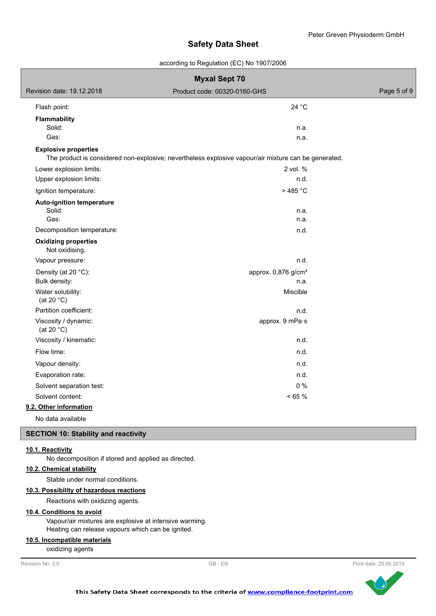according to Regulation (EC) No 1907/2006

|                                                  | <b>Myxal Sept 70</b>                                                                                 |             |
|--------------------------------------------------|------------------------------------------------------------------------------------------------------|-------------|
| Revision date: 19.12.2018                        | Product code: 00320-0160-GHS                                                                         | Page 5 of 9 |
| Flash point:                                     | 24 °C                                                                                                |             |
| <b>Flammability</b><br>Solid:<br>Gas:            | n.a.<br>n.a.                                                                                         |             |
| <b>Explosive properties</b>                      | The product is considered non-explosive; nevertheless explosive vapour/air mixture can be generated. |             |
| Lower explosion limits:                          | 2 vol. %                                                                                             |             |
| Upper explosion limits:<br>Ignition temperature: | n.d.<br>> 485 °C                                                                                     |             |
| Auto-ignition temperature                        |                                                                                                      |             |
| Solid:<br>Gas:                                   | n.a.<br>n.a.                                                                                         |             |
| Decomposition temperature:                       | n.d.                                                                                                 |             |
| <b>Oxidizing properties</b><br>Not oxidising.    |                                                                                                      |             |
| Vapour pressure:                                 | n.d.                                                                                                 |             |
| Density (at 20 °C):<br>Bulk density:             | approx. 0,876 g/cm <sup>3</sup><br>n.a.                                                              |             |
| Water solubility:<br>(at 20 $°C$ )               | Miscible                                                                                             |             |
| Partition coefficient:                           | n.d.                                                                                                 |             |
| Viscosity / dynamic:<br>(at 20 $°C$ )            | approx. 9 mPa·s                                                                                      |             |
| Viscosity / kinematic:                           | n.d.                                                                                                 |             |
| Flow time:                                       | n.d.                                                                                                 |             |
| Vapour density:                                  | n.d.                                                                                                 |             |
| Evaporation rate:                                | n.d.                                                                                                 |             |
| Solvent separation test:                         | $0\%$                                                                                                |             |
| Solvent content:                                 | < 65 %                                                                                               |             |
| 9.2. Other information                           |                                                                                                      |             |
| No data available                                |                                                                                                      |             |

## **SECTION 10: Stability and reactivity**

#### **10.1. Reactivity**

No decomposition if stored and applied as directed.

## **10.2. Chemical stability**

Stable under normal conditions.

## **10.3. Possibility of hazardous reactions**

Reactions with oxidizing agents.

## **10.4. Conditions to avoid**

Vapour/air mixtures are explosive at intensive warming. Heating can release vapours which can be ignited.

## **10.5. Incompatible materials**

oxidizing agents

```
Revision No: 3,0 GB - EN Print date: 29.05.2019
```
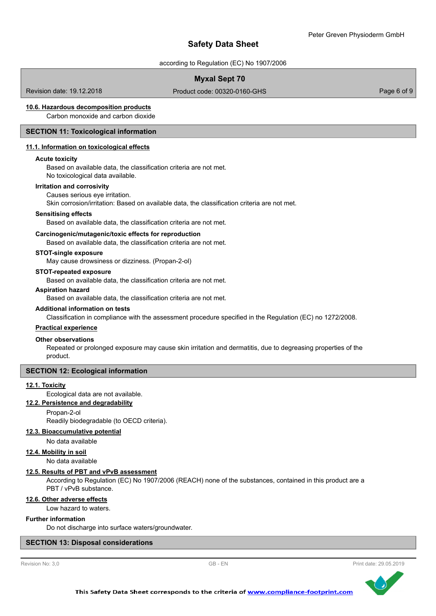according to Regulation (EC) No 1907/2006

## **Myxal Sept 70**

Revision date: 19.12.2018

Product code: 00320-0160-GHS Product code: 00320-0160-GHS

### **10.6. Hazardous decomposition products**

Carbon monoxide and carbon dioxide

### **SECTION 11: Toxicological information**

#### **11.1. Information on toxicological effects**

#### **Acute toxicity**

Based on available data, the classification criteria are not met. No toxicological data available.

#### **Irritation and corrosivity**

Causes serious eye irritation.

Skin corrosion/irritation: Based on available data, the classification criteria are not met.

#### **Sensitising effects**

Based on available data, the classification criteria are not met.

#### **Carcinogenic/mutagenic/toxic effects for reproduction**

Based on available data, the classification criteria are not met.

#### **STOT-single exposure**

May cause drowsiness or dizziness. (Propan-2-ol)

#### **STOT-repeated exposure**

Based on available data, the classification criteria are not met.

#### **Aspiration hazard**

Based on available data, the classification criteria are not met.

#### **Additional information on tests**

Classification in compliance with the assessment procedure specified in the Regulation (EC) no 1272/2008.

### **Practical experience**

#### **Other observations**

Repeated or prolonged exposure may cause skin irritation and dermatitis, due to degreasing properties of the product.

### **SECTION 12: Ecological information**

#### **12.1. Toxicity**

Ecological data are not available.

## **12.2. Persistence and degradability**

Propan-2-ol

Readily biodegradable (to OECD criteria).

### **12.3. Bioaccumulative potential**

No data available

#### **12.4. Mobility in soil**

No data available

#### **12.5. Results of PBT and vPvB assessment**

According to Regulation (EC) No 1907/2006 (REACH) none of the substances, contained in this product are a PBT / vPvB substance.

## **12.6. Other adverse effects**

Low hazard to waters.

#### **Further information**

Do not discharge into surface waters/groundwater.

## **SECTION 13: Disposal considerations**



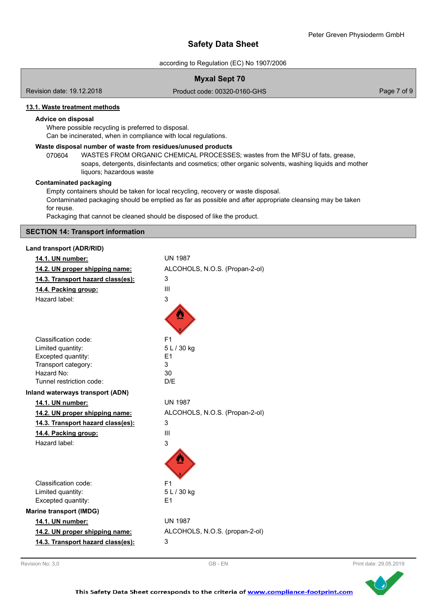according to Regulation (EC) No 1907/2006

## **Myxal Sept 70**

Revision date: 19.12.2018

Product code: 00320-0160-GHS Product code: 00320-0160-GHS

## **13.1. Waste treatment methods**

#### **Advice on disposal**

Where possible recycling is preferred to disposal. Can be incinerated, when in compliance with local regulations.

#### **Waste disposal number of waste from residues/unused products**

070604 WASTES FROM ORGANIC CHEMICAL PROCESSES; wastes from the MFSU of fats, grease, soaps, detergents, disinfectants and cosmetics; other organic solvents, washing liquids and mother liquors; hazardous waste

#### **Contaminated packaging**

Empty containers should be taken for local recycling, recovery or waste disposal. Contaminated packaging should be emptied as far as possible and after appropriate cleansing may be taken for reuse.

Packaging that cannot be cleaned should be disposed of like the product.

#### **SECTION 14: Transport information**

## **Land transport (ADR/RID)**

| 14.1. UN number:                  | <b>UN 1987</b>                 |
|-----------------------------------|--------------------------------|
| 14.2. UN proper shipping name:    | ALCOHOLS, N.O.S. (Propan-2-ol) |
| 14.3. Transport hazard class(es): | 3                              |
| 14.4. Packing group:              | Ш                              |
| Hazard label:                     | 3                              |
|                                   |                                |
|                                   |                                |
|                                   |                                |
| Classification code:              | F <sub>1</sub>                 |
| Limited quantity:                 | 5 L / 30 kg                    |
| Excepted quantity:                | E <sub>1</sub>                 |
| Transport category:               | 3                              |
| Hazard No:                        | 30                             |
| Tunnel restriction code:          | D/E                            |
| Inland waterways transport (ADN)  |                                |
| 14.1. UN number:                  | <b>UN 1987</b>                 |
| 14.2. UN proper shipping name:    | ALCOHOLS, N.O.S. (Propan-2-ol) |
| 14.3. Transport hazard class(es): | 3                              |
| 14.4. Packing group:              | Ш                              |
| Hazard label:                     | 3                              |
|                                   |                                |
|                                   |                                |
|                                   |                                |
| Classification code:              | F <sub>1</sub>                 |
| Limited quantity:                 | 5 L / 30 kg                    |
| Excepted quantity:                | E1                             |
| <b>Marine transport (IMDG)</b>    |                                |
| 14.1. UN number:                  | <b>UN 1987</b>                 |
| 14.2. UN proper shipping name:    | ALCOHOLS, N.O.S. (propan-2-ol) |
| 14.3. Transport hazard class(es): | 3                              |
|                                   |                                |



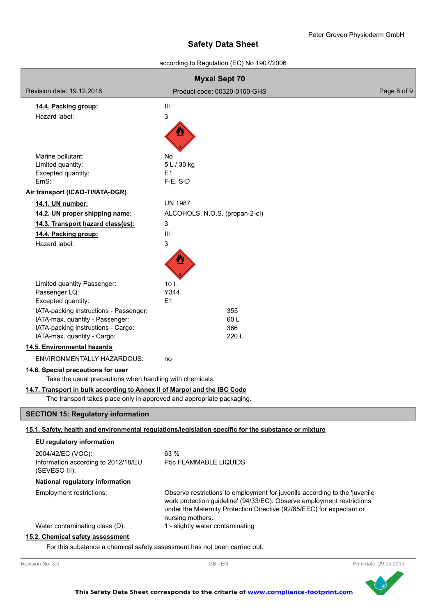according to Regulation (EC) No 1907/2006

| <b>Myxal Sept 70</b>                                                                                                                              |                                                                                                                                                                                                                                                   |             |  |
|---------------------------------------------------------------------------------------------------------------------------------------------------|---------------------------------------------------------------------------------------------------------------------------------------------------------------------------------------------------------------------------------------------------|-------------|--|
| Revision date: 19.12.2018                                                                                                                         | Product code: 00320-0160-GHS                                                                                                                                                                                                                      | Page 8 of 9 |  |
| 14.4. Packing group:                                                                                                                              | Ш                                                                                                                                                                                                                                                 |             |  |
| Hazard label:                                                                                                                                     | 3                                                                                                                                                                                                                                                 |             |  |
|                                                                                                                                                   |                                                                                                                                                                                                                                                   |             |  |
| Marine pollutant:                                                                                                                                 | No.                                                                                                                                                                                                                                               |             |  |
| Limited quantity:<br>Excepted quantity:                                                                                                           | 5 L / 30 kg<br>E1                                                                                                                                                                                                                                 |             |  |
| EmS:                                                                                                                                              | $F-E$ , S-D                                                                                                                                                                                                                                       |             |  |
| Air transport (ICAO-TI/IATA-DGR)                                                                                                                  |                                                                                                                                                                                                                                                   |             |  |
| 14.1. UN number:                                                                                                                                  | <b>UN 1987</b>                                                                                                                                                                                                                                    |             |  |
| 14.2. UN proper shipping name:                                                                                                                    | ALCOHOLS, N.O.S. (propan-2-ol)                                                                                                                                                                                                                    |             |  |
| 14.3. Transport hazard class(es):                                                                                                                 | 3                                                                                                                                                                                                                                                 |             |  |
| 14.4. Packing group:                                                                                                                              | Ш                                                                                                                                                                                                                                                 |             |  |
| Hazard label:                                                                                                                                     | 3                                                                                                                                                                                                                                                 |             |  |
|                                                                                                                                                   |                                                                                                                                                                                                                                                   |             |  |
| Limited quantity Passenger:                                                                                                                       | 10 <sub>L</sub>                                                                                                                                                                                                                                   |             |  |
| Passenger LQ:                                                                                                                                     | Y344                                                                                                                                                                                                                                              |             |  |
| Excepted quantity:                                                                                                                                | E1                                                                                                                                                                                                                                                |             |  |
| IATA-packing instructions - Passenger:<br>IATA-max. quantity - Passenger:                                                                         | 355<br>60L                                                                                                                                                                                                                                        |             |  |
| IATA-packing instructions - Cargo:                                                                                                                | 366                                                                                                                                                                                                                                               |             |  |
| IATA-max. quantity - Cargo:                                                                                                                       | 220 L                                                                                                                                                                                                                                             |             |  |
| 14.5. Environmental hazards                                                                                                                       |                                                                                                                                                                                                                                                   |             |  |
| ENVIRONMENTALLY HAZARDOUS:                                                                                                                        | no                                                                                                                                                                                                                                                |             |  |
| 14.6. Special precautions for user<br>Take the usual precautions when handling with chemicals.                                                    |                                                                                                                                                                                                                                                   |             |  |
| 14.7. Transport in bulk according to Annex II of Marpol and the IBC Code<br>The transport takes place only in approved and appropriate packaging. |                                                                                                                                                                                                                                                   |             |  |
| <b>SECTION 15: Regulatory information</b>                                                                                                         |                                                                                                                                                                                                                                                   |             |  |
|                                                                                                                                                   | 15.1. Safety, health and environmental regulations/legislation specific for the substance or mixture                                                                                                                                              |             |  |
| EU regulatory information                                                                                                                         |                                                                                                                                                                                                                                                   |             |  |
| 2004/42/EC (VOC):                                                                                                                                 | 63 %                                                                                                                                                                                                                                              |             |  |
| Information according to 2012/18/EU                                                                                                               | <b>P5c FLAMMABLE LIQUIDS</b>                                                                                                                                                                                                                      |             |  |
| (SEVESO III):                                                                                                                                     |                                                                                                                                                                                                                                                   |             |  |
| National regulatory information                                                                                                                   |                                                                                                                                                                                                                                                   |             |  |
| Employment restrictions:                                                                                                                          | Observe restrictions to employment for juvenils according to the 'juvenile<br>work protection guideline' (94/33/EC). Observe employment restrictions<br>under the Maternity Protection Directive (92/85/EEC) for expectant or<br>nursing mothers. |             |  |
| Water contaminating class (D):                                                                                                                    | 1 - slightly water contaminating                                                                                                                                                                                                                  |             |  |
| 15.2. Chemical safety assessment                                                                                                                  |                                                                                                                                                                                                                                                   |             |  |

For this substance a chemical safety assessment has not been carried out.